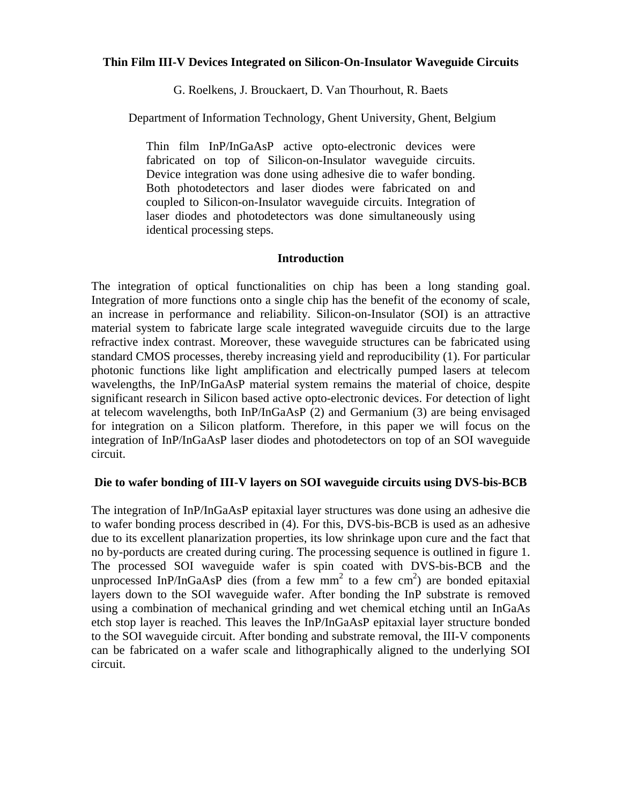## **Thin Film III-V Devices Integrated on Silicon-On-Insulator Waveguide Circuits**

G. Roelkens, J. Brouckaert, D. Van Thourhout, R. Baets

Department of Information Technology, Ghent University, Ghent, Belgium

Thin film InP/InGaAsP active opto-electronic devices were fabricated on top of Silicon-on-Insulator waveguide circuits. Device integration was done using adhesive die to wafer bonding. Both photodetectors and laser diodes were fabricated on and coupled to Silicon-on-Insulator waveguide circuits. Integration of laser diodes and photodetectors was done simultaneously using identical processing steps.

### **Introduction**

The integration of optical functionalities on chip has been a long standing goal. Integration of more functions onto a single chip has the benefit of the economy of scale, an increase in performance and reliability. Silicon-on-Insulator (SOI) is an attractive material system to fabricate large scale integrated waveguide circuits due to the large refractive index contrast. Moreover, these waveguide structures can be fabricated using standard CMOS processes, thereby increasing yield and reproducibility (1). For particular photonic functions like light amplification and electrically pumped lasers at telecom wavelengths, the InP/InGaAsP material system remains the material of choice, despite significant research in Silicon based active opto-electronic devices. For detection of light at telecom wavelengths, both InP/InGaAsP (2) and Germanium (3) are being envisaged for integration on a Silicon platform. Therefore, in this paper we will focus on the integration of InP/InGaAsP laser diodes and photodetectors on top of an SOI waveguide circuit.

# **Die to wafer bonding of III-V layers on SOI waveguide circuits using DVS-bis-BCB**

The integration of InP/InGaAsP epitaxial layer structures was done using an adhesive die to wafer bonding process described in (4). For this, DVS-bis-BCB is used as an adhesive due to its excellent planarization properties, its low shrinkage upon cure and the fact that no by-porducts are created during curing. The processing sequence is outlined in figure 1. The processed SOI waveguide wafer is spin coated with DVS-bis-BCB and the unprocessed InP/InGaAsP dies (from a few  $mm<sup>2</sup>$  to a few  $cm<sup>2</sup>$ ) are bonded epitaxial layers down to the SOI waveguide wafer. After bonding the InP substrate is removed using a combination of mechanical grinding and wet chemical etching until an InGaAs etch stop layer is reached. This leaves the InP/InGaAsP epitaxial layer structure bonded to the SOI waveguide circuit. After bonding and substrate removal, the III-V components can be fabricated on a wafer scale and lithographically aligned to the underlying SOI circuit.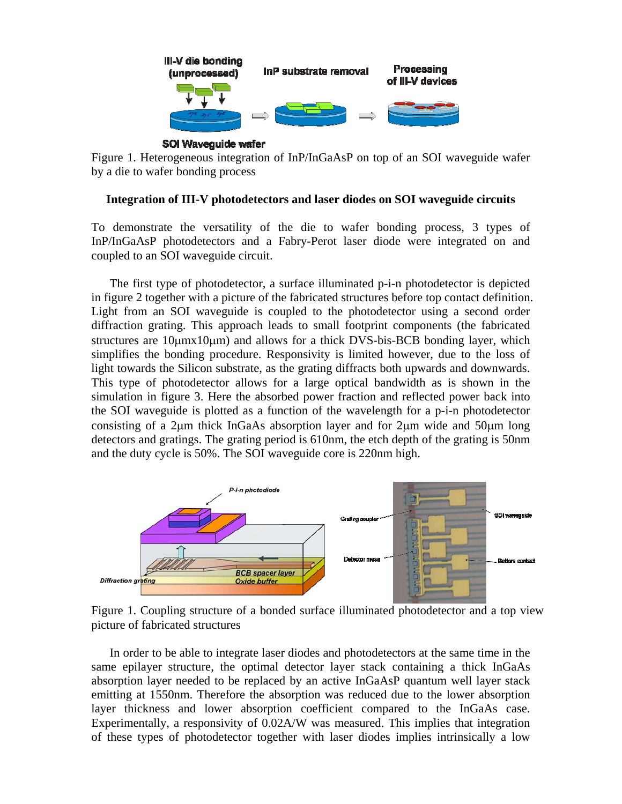

**SOI Waveguide wafer** 

Figure 1. Heterogeneous integration of InP/InGaAsP on top of an SOI waveguide wafer by a die to wafer bonding process

## **Integration of III-V photodetectors and laser diodes on SOI waveguide circuits**

To demonstrate the versatility of the die to wafer bonding process, 3 types of InP/InGaAsP photodetectors and a Fabry-Perot laser diode were integrated on and coupled to an SOI waveguide circuit.

The first type of photodetector, a surface illuminated p-i-n photodetector is depicted in figure 2 together with a picture of the fabricated structures before top contact definition. Light from an SOI waveguide is coupled to the photodetector using a second order diffraction grating. This approach leads to small footprint components (the fabricated structures are  $10\mu m x 10\mu m$ ) and allows for a thick DVS-bis-BCB bonding layer, which simplifies the bonding procedure. Responsivity is limited however, due to the loss of light towards the Silicon substrate, as the grating diffracts both upwards and downwards. This type of photodetector allows for a large optical bandwidth as is shown in the simulation in figure 3. Here the absorbed power fraction and reflected power back into the SOI waveguide is plotted as a function of the wavelength for a p-i-n photodetector consisting of a 2µm thick InGaAs absorption layer and for 2µm wide and 50µm long detectors and gratings. The grating period is 610nm, the etch depth of the grating is 50nm and the duty cycle is 50%. The SOI waveguide core is 220nm high.



Figure 1. Coupling structure of a bonded surface illuminated photodetector and a top view picture of fabricated structures

In order to be able to integrate laser diodes and photodetectors at the same time in the same epilayer structure, the optimal detector layer stack containing a thick InGaAs absorption layer needed to be replaced by an active InGaAsP quantum well layer stack emitting at 1550nm. Therefore the absorption was reduced due to the lower absorption layer thickness and lower absorption coefficient compared to the InGaAs case. Experimentally, a responsivity of 0.02A/W was measured. This implies that integration of these types of photodetector together with laser diodes implies intrinsically a low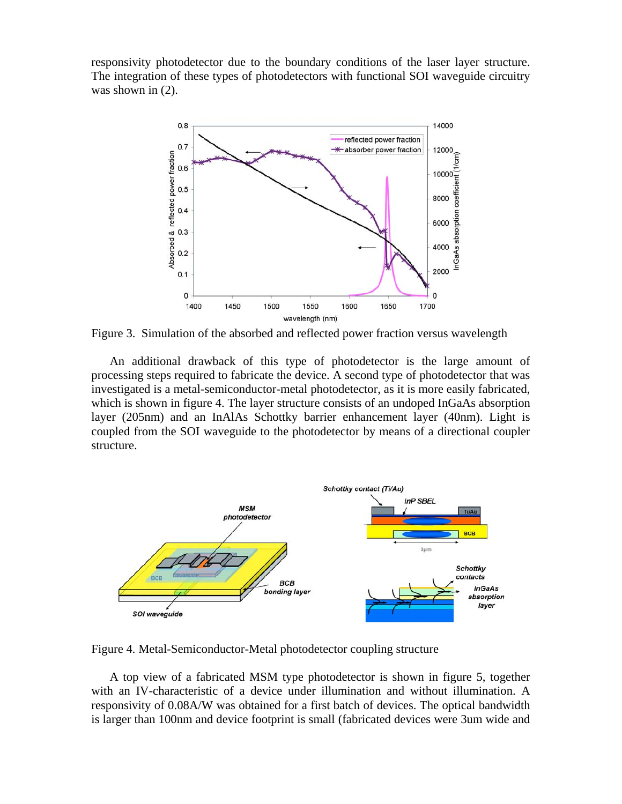responsivity photodetector due to the boundary conditions of the laser layer structure. The integration of these types of photodetectors with functional SOI waveguide circuitry was shown in (2).



Figure 3. Simulation of the absorbed and reflected power fraction versus wavelength

An additional drawback of this type of photodetector is the large amount of processing steps required to fabricate the device. A second type of photodetector that was investigated is a metal-semiconductor-metal photodetector, as it is more easily fabricated, which is shown in figure 4. The layer structure consists of an undoped InGaAs absorption layer (205nm) and an InAlAs Schottky barrier enhancement layer (40nm). Light is coupled from the SOI waveguide to the photodetector by means of a directional coupler structure.



Figure 4. Metal-Semiconductor-Metal photodetector coupling structure

A top view of a fabricated MSM type photodetector is shown in figure 5, together with an IV-characteristic of a device under illumination and without illumination. A responsivity of 0.08A/W was obtained for a first batch of devices. The optical bandwidth is larger than 100nm and device footprint is small (fabricated devices were 3um wide and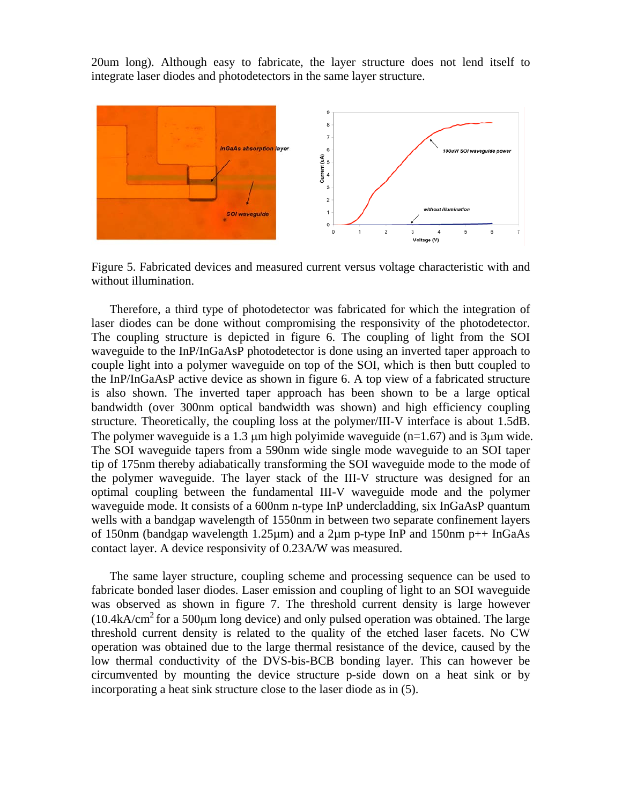20um long). Although easy to fabricate, the layer structure does not lend itself to integrate laser diodes and photodetectors in the same layer structure.



Figure 5. Fabricated devices and measured current versus voltage characteristic with and without illumination.

Therefore, a third type of photodetector was fabricated for which the integration of laser diodes can be done without compromising the responsivity of the photodetector. The coupling structure is depicted in figure 6. The coupling of light from the SOI waveguide to the InP/InGaAsP photodetector is done using an inverted taper approach to couple light into a polymer waveguide on top of the SOI, which is then butt coupled to the InP/InGaAsP active device as shown in figure 6. A top view of a fabricated structure is also shown. The inverted taper approach has been shown to be a large optical bandwidth (over 300nm optical bandwidth was shown) and high efficiency coupling structure. Theoretically, the coupling loss at the polymer/III-V interface is about 1.5dB. The polymer waveguide is a 1.3  $\mu$ m high polyimide waveguide (n=1.67) and is 3 $\mu$ m wide. The SOI waveguide tapers from a 590nm wide single mode waveguide to an SOI taper tip of 175nm thereby adiabatically transforming the SOI waveguide mode to the mode of the polymer waveguide. The layer stack of the III-V structure was designed for an optimal coupling between the fundamental III-V waveguide mode and the polymer waveguide mode. It consists of a 600nm n-type InP undercladding, six InGaAsP quantum wells with a bandgap wavelength of 1550nm in between two separate confinement layers of 150nm (bandgap wavelength 1.25 $\mu$ m) and a 2 $\mu$ m p-type InP and 150nm p++ InGaAs contact layer. A device responsivity of 0.23A/W was measured.

The same layer structure, coupling scheme and processing sequence can be used to fabricate bonded laser diodes. Laser emission and coupling of light to an SOI waveguide was observed as shown in figure 7. The threshold current density is large however  $(10.4kA/cm<sup>2</sup>$  for a 500<sub>u</sub>m long device) and only pulsed operation was obtained. The large threshold current density is related to the quality of the etched laser facets. No CW operation was obtained due to the large thermal resistance of the device, caused by the low thermal conductivity of the DVS-bis-BCB bonding layer. This can however be circumvented by mounting the device structure p-side down on a heat sink or by incorporating a heat sink structure close to the laser diode as in (5).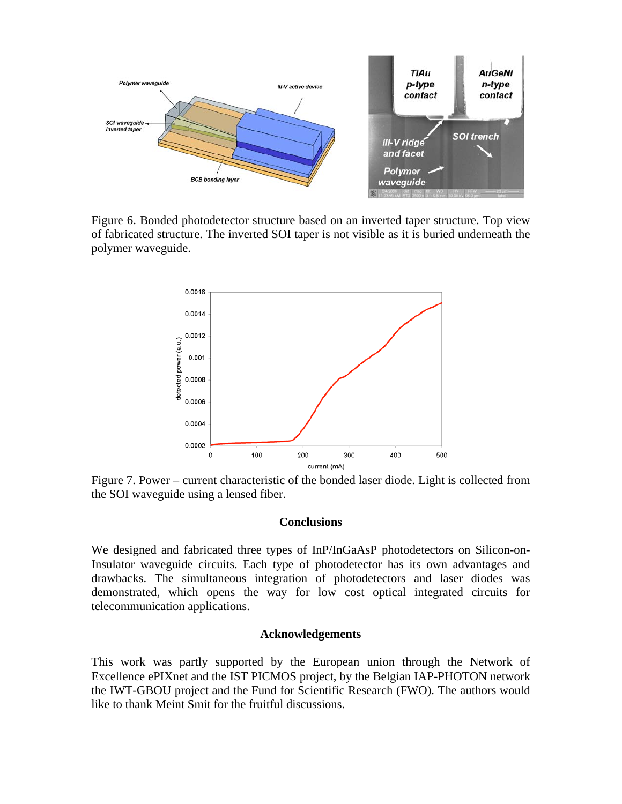

Figure 6. Bonded photodetector structure based on an inverted taper structure. Top view of fabricated structure. The inverted SOI taper is not visible as it is buried underneath the polymer waveguide.



Figure 7. Power – current characteristic of the bonded laser diode. Light is collected from the SOI waveguide using a lensed fiber.

#### **Conclusions**

We designed and fabricated three types of InP/InGaAsP photodetectors on Silicon-on-Insulator waveguide circuits. Each type of photodetector has its own advantages and drawbacks. The simultaneous integration of photodetectors and laser diodes was demonstrated, which opens the way for low cost optical integrated circuits for telecommunication applications.

#### **Acknowledgements**

This work was partly supported by the European union through the Network of Excellence ePIXnet and the IST PICMOS project, by the Belgian IAP-PHOTON network the IWT-GBOU project and the Fund for Scientific Research (FWO). The authors would like to thank Meint Smit for the fruitful discussions.